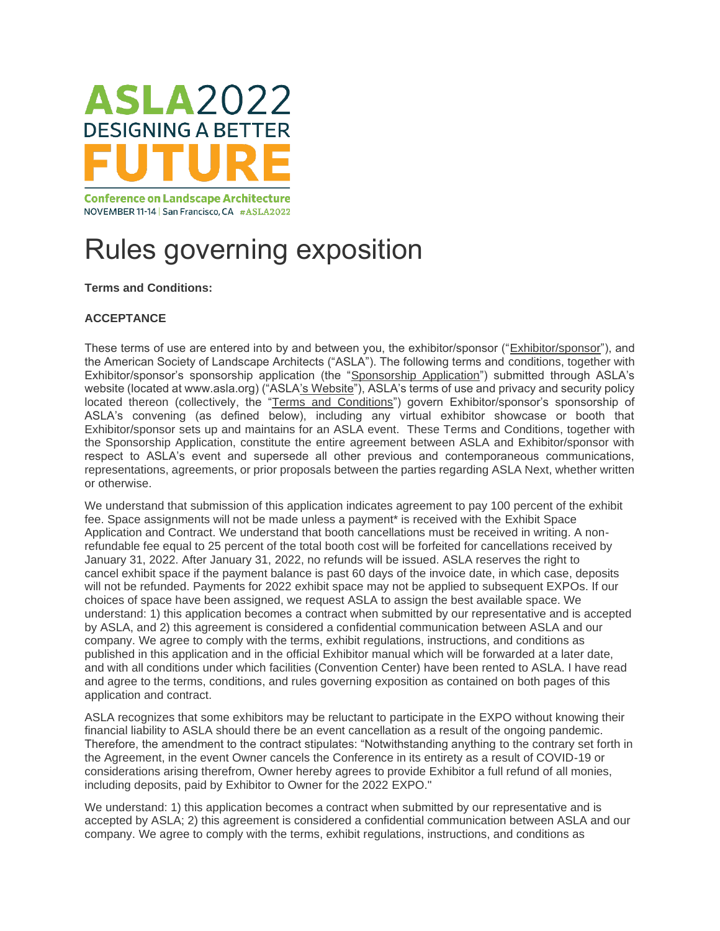

NOVEMBER 11-14 | San Francisco, CA #ASLA2022

# Rules governing exposition

**Terms and Conditions:**

# **ACCEPTANCE**

These terms of use are entered into by and between you, the exhibitor/sponsor ("Exhibitor/sponsor"), and the American Society of Landscape Architects ("ASLA"). The following terms and conditions, together with Exhibitor/sponsor's sponsorship application (the "Sponsorship Application") submitted through ASLA's website (located at www.asla.org) ("ASLA's Website"), ASLA's terms of use and privacy and security policy located thereon (collectively, the "Terms and Conditions") govern Exhibitor/sponsor's sponsorship of ASLA's convening (as defined below), including any virtual exhibitor showcase or booth that Exhibitor/sponsor sets up and maintains for an ASLA event. These Terms and Conditions, together with the Sponsorship Application, constitute the entire agreement between ASLA and Exhibitor/sponsor with respect to ASLA's event and supersede all other previous and contemporaneous communications, representations, agreements, or prior proposals between the parties regarding ASLA Next, whether written or otherwise.

We understand that submission of this application indicates agreement to pay 100 percent of the exhibit fee. Space assignments will not be made unless a payment\* is received with the Exhibit Space Application and Contract. We understand that booth cancellations must be received in writing. A nonrefundable fee equal to 25 percent of the total booth cost will be forfeited for cancellations received by January 31, 2022. After January 31, 2022, no refunds will be issued. ASLA reserves the right to cancel exhibit space if the payment balance is past 60 days of the invoice date, in which case, deposits will not be refunded. Payments for 2022 exhibit space may not be applied to subsequent EXPOs. If our choices of space have been assigned, we request ASLA to assign the best available space. We understand: 1) this application becomes a contract when submitted by our representative and is accepted by ASLA, and 2) this agreement is considered a confidential communication between ASLA and our company. We agree to comply with the terms, exhibit regulations, instructions, and conditions as published in this application and in the official Exhibitor manual which will be forwarded at a later date, and with all conditions under which facilities (Convention Center) have been rented to ASLA. I have read and agree to the terms, conditions, and rules governing exposition as contained on both pages of this application and contract.

ASLA recognizes that some exhibitors may be reluctant to participate in the EXPO without knowing their financial liability to ASLA should there be an event cancellation as a result of the ongoing pandemic. Therefore, the amendment to the contract stipulates: "Notwithstanding anything to the contrary set forth in the Agreement, in the event Owner cancels the Conference in its entirety as a result of COVID-19 or considerations arising therefrom, Owner hereby agrees to provide Exhibitor a full refund of all monies, including deposits, paid by Exhibitor to Owner for the 2022 EXPO."

We understand: 1) this application becomes a contract when submitted by our representative and is accepted by ASLA; 2) this agreement is considered a confidential communication between ASLA and our company. We agree to comply with the terms, exhibit regulations, instructions, and conditions as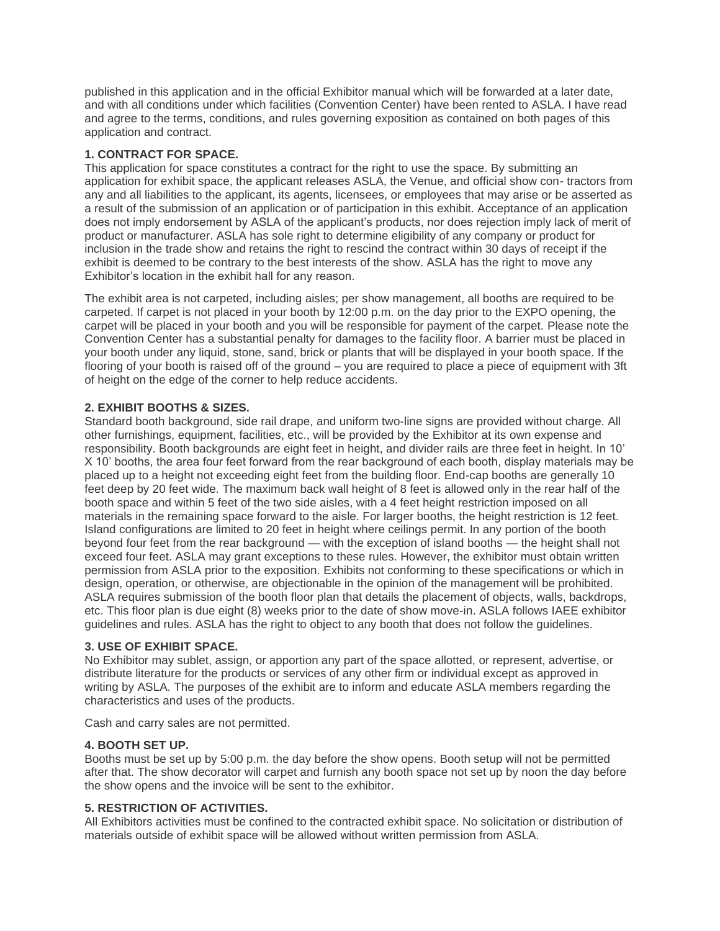published in this application and in the official Exhibitor manual which will be forwarded at a later date, and with all conditions under which facilities (Convention Center) have been rented to ASLA. I have read and agree to the terms, conditions, and rules governing exposition as contained on both pages of this application and contract.

# **1. CONTRACT FOR SPACE.**

This application for space constitutes a contract for the right to use the space. By submitting an application for exhibit space, the applicant releases ASLA, the Venue, and official show con- tractors from any and all liabilities to the applicant, its agents, licensees, or employees that may arise or be asserted as a result of the submission of an application or of participation in this exhibit. Acceptance of an application does not imply endorsement by ASLA of the applicant's products, nor does rejection imply lack of merit of product or manufacturer. ASLA has sole right to determine eligibility of any company or product for inclusion in the trade show and retains the right to rescind the contract within 30 days of receipt if the exhibit is deemed to be contrary to the best interests of the show. ASLA has the right to move any Exhibitor's location in the exhibit hall for any reason.

The exhibit area is not carpeted, including aisles; per show management, all booths are required to be carpeted. If carpet is not placed in your booth by 12:00 p.m. on the day prior to the EXPO opening, the carpet will be placed in your booth and you will be responsible for payment of the carpet. Please note the Convention Center has a substantial penalty for damages to the facility floor. A barrier must be placed in your booth under any liquid, stone, sand, brick or plants that will be displayed in your booth space. If the flooring of your booth is raised off of the ground – you are required to place a piece of equipment with 3ft of height on the edge of the corner to help reduce accidents.

# **2. EXHIBIT BOOTHS & SIZES.**

Standard booth background, side rail drape, and uniform two-line signs are provided without charge. All other furnishings, equipment, facilities, etc., will be provided by the Exhibitor at its own expense and responsibility. Booth backgrounds are eight feet in height, and divider rails are three feet in height. In 10' X 10' booths, the area four feet forward from the rear background of each booth, display materials may be placed up to a height not exceeding eight feet from the building floor. End-cap booths are generally 10 feet deep by 20 feet wide. The maximum back wall height of 8 feet is allowed only in the rear half of the booth space and within 5 feet of the two side aisles, with a 4 feet height restriction imposed on all materials in the remaining space forward to the aisle. For larger booths, the height restriction is 12 feet. Island configurations are limited to 20 feet in height where ceilings permit. In any portion of the booth beyond four feet from the rear background — with the exception of island booths — the height shall not exceed four feet. ASLA may grant exceptions to these rules. However, the exhibitor must obtain written permission from ASLA prior to the exposition. Exhibits not conforming to these specifications or which in design, operation, or otherwise, are objectionable in the opinion of the management will be prohibited. ASLA requires submission of the booth floor plan that details the placement of objects, walls, backdrops, etc. This floor plan is due eight (8) weeks prior to the date of show move-in. ASLA follows IAEE exhibitor guidelines and rules. ASLA has the right to object to any booth that does not follow the guidelines.

# **3. USE OF EXHIBIT SPACE.**

No Exhibitor may sublet, assign, or apportion any part of the space allotted, or represent, advertise, or distribute literature for the products or services of any other firm or individual except as approved in writing by ASLA. The purposes of the exhibit are to inform and educate ASLA members regarding the characteristics and uses of the products.

Cash and carry sales are not permitted.

#### **4. BOOTH SET UP.**

Booths must be set up by 5:00 p.m. the day before the show opens. Booth setup will not be permitted after that. The show decorator will carpet and furnish any booth space not set up by noon the day before the show opens and the invoice will be sent to the exhibitor.

# **5. RESTRICTION OF ACTIVITIES.**

All Exhibitors activities must be confined to the contracted exhibit space. No solicitation or distribution of materials outside of exhibit space will be allowed without written permission from ASLA.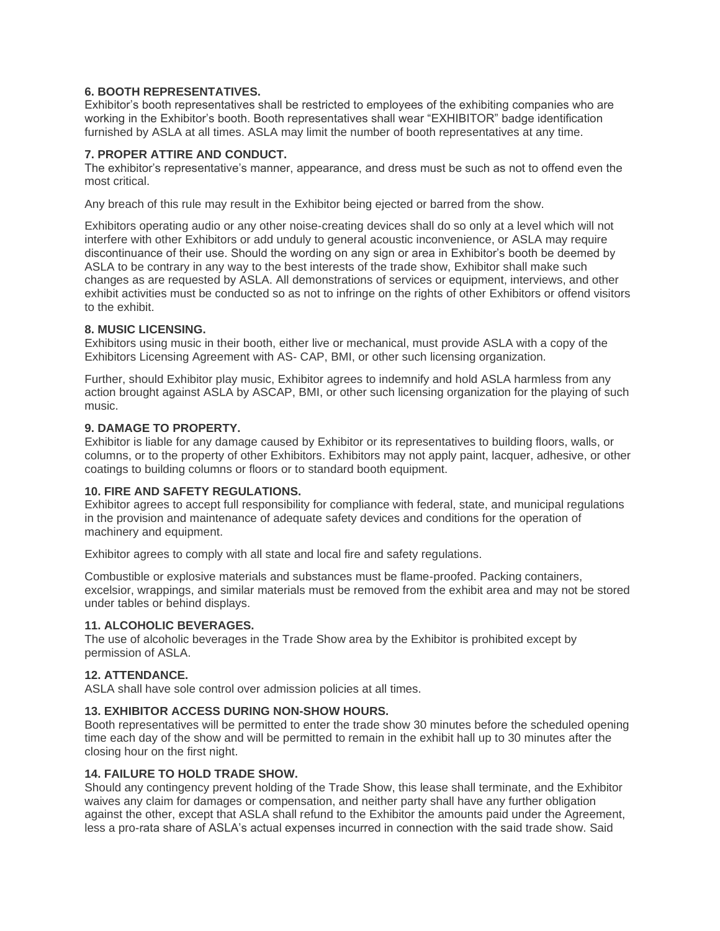# **6. BOOTH REPRESENTATIVES.**

Exhibitor's booth representatives shall be restricted to employees of the exhibiting companies who are working in the Exhibitor's booth. Booth representatives shall wear "EXHIBITOR" badge identification furnished by ASLA at all times. ASLA may limit the number of booth representatives at any time.

#### **7. PROPER ATTIRE AND CONDUCT.**

The exhibitor's representative's manner, appearance, and dress must be such as not to offend even the most critical.

Any breach of this rule may result in the Exhibitor being ejected or barred from the show.

Exhibitors operating audio or any other noise-creating devices shall do so only at a level which will not interfere with other Exhibitors or add unduly to general acoustic inconvenience, or ASLA may require discontinuance of their use. Should the wording on any sign or area in Exhibitor's booth be deemed by ASLA to be contrary in any way to the best interests of the trade show, Exhibitor shall make such changes as are requested by ASLA. All demonstrations of services or equipment, interviews, and other exhibit activities must be conducted so as not to infringe on the rights of other Exhibitors or offend visitors to the exhibit.

#### **8. MUSIC LICENSING.**

Exhibitors using music in their booth, either live or mechanical, must provide ASLA with a copy of the Exhibitors Licensing Agreement with AS- CAP, BMI, or other such licensing organization.

Further, should Exhibitor play music, Exhibitor agrees to indemnify and hold ASLA harmless from any action brought against ASLA by ASCAP, BMI, or other such licensing organization for the playing of such music.

## **9. DAMAGE TO PROPERTY.**

Exhibitor is liable for any damage caused by Exhibitor or its representatives to building floors, walls, or columns, or to the property of other Exhibitors. Exhibitors may not apply paint, lacquer, adhesive, or other coatings to building columns or floors or to standard booth equipment.

### **10. FIRE AND SAFETY REGULATIONS.**

Exhibitor agrees to accept full responsibility for compliance with federal, state, and municipal regulations in the provision and maintenance of adequate safety devices and conditions for the operation of machinery and equipment.

Exhibitor agrees to comply with all state and local fire and safety regulations.

Combustible or explosive materials and substances must be flame-proofed. Packing containers, excelsior, wrappings, and similar materials must be removed from the exhibit area and may not be stored under tables or behind displays.

#### **11. ALCOHOLIC BEVERAGES.**

The use of alcoholic beverages in the Trade Show area by the Exhibitor is prohibited except by permission of ASLA.

#### **12. ATTENDANCE.**

ASLA shall have sole control over admission policies at all times.

#### **13. EXHIBITOR ACCESS DURING NON-SHOW HOURS.**

Booth representatives will be permitted to enter the trade show 30 minutes before the scheduled opening time each day of the show and will be permitted to remain in the exhibit hall up to 30 minutes after the closing hour on the first night.

#### **14. FAILURE TO HOLD TRADE SHOW.**

Should any contingency prevent holding of the Trade Show, this lease shall terminate, and the Exhibitor waives any claim for damages or compensation, and neither party shall have any further obligation against the other, except that ASLA shall refund to the Exhibitor the amounts paid under the Agreement, less a pro-rata share of ASLA's actual expenses incurred in connection with the said trade show. Said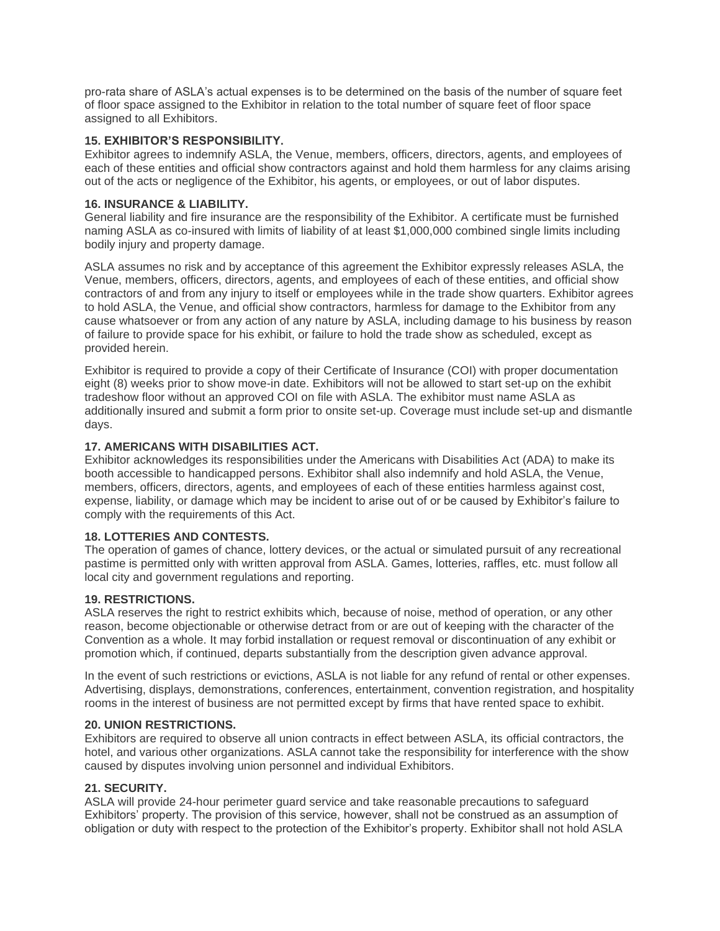pro-rata share of ASLA's actual expenses is to be determined on the basis of the number of square feet of floor space assigned to the Exhibitor in relation to the total number of square feet of floor space assigned to all Exhibitors.

# **15. EXHIBITOR'S RESPONSIBILITY.**

Exhibitor agrees to indemnify ASLA, the Venue, members, officers, directors, agents, and employees of each of these entities and official show contractors against and hold them harmless for any claims arising out of the acts or negligence of the Exhibitor, his agents, or employees, or out of labor disputes.

#### **16. INSURANCE & LIABILITY.**

General liability and fire insurance are the responsibility of the Exhibitor. A certificate must be furnished naming ASLA as co-insured with limits of liability of at least \$1,000,000 combined single limits including bodily injury and property damage.

ASLA assumes no risk and by acceptance of this agreement the Exhibitor expressly releases ASLA, the Venue, members, officers, directors, agents, and employees of each of these entities, and official show contractors of and from any injury to itself or employees while in the trade show quarters. Exhibitor agrees to hold ASLA, the Venue, and official show contractors, harmless for damage to the Exhibitor from any cause whatsoever or from any action of any nature by ASLA, including damage to his business by reason of failure to provide space for his exhibit, or failure to hold the trade show as scheduled, except as provided herein.

Exhibitor is required to provide a copy of their Certificate of Insurance (COI) with proper documentation eight (8) weeks prior to show move-in date. Exhibitors will not be allowed to start set-up on the exhibit tradeshow floor without an approved COI on file with ASLA. The exhibitor must name ASLA as additionally insured and submit a form prior to onsite set-up. Coverage must include set-up and dismantle days.

#### **17. AMERICANS WITH DISABILITIES ACT.**

Exhibitor acknowledges its responsibilities under the Americans with Disabilities Act (ADA) to make its booth accessible to handicapped persons. Exhibitor shall also indemnify and hold ASLA, the Venue, members, officers, directors, agents, and employees of each of these entities harmless against cost, expense, liability, or damage which may be incident to arise out of or be caused by Exhibitor's failure to comply with the requirements of this Act.

#### **18. LOTTERIES AND CONTESTS.**

The operation of games of chance, lottery devices, or the actual or simulated pursuit of any recreational pastime is permitted only with written approval from ASLA. Games, lotteries, raffles, etc. must follow all local city and government regulations and reporting.

#### **19. RESTRICTIONS.**

ASLA reserves the right to restrict exhibits which, because of noise, method of operation, or any other reason, become objectionable or otherwise detract from or are out of keeping with the character of the Convention as a whole. It may forbid installation or request removal or discontinuation of any exhibit or promotion which, if continued, departs substantially from the description given advance approval.

In the event of such restrictions or evictions, ASLA is not liable for any refund of rental or other expenses. Advertising, displays, demonstrations, conferences, entertainment, convention registration, and hospitality rooms in the interest of business are not permitted except by firms that have rented space to exhibit.

# **20. UNION RESTRICTIONS.**

Exhibitors are required to observe all union contracts in effect between ASLA, its official contractors, the hotel, and various other organizations. ASLA cannot take the responsibility for interference with the show caused by disputes involving union personnel and individual Exhibitors.

#### **21. SECURITY.**

ASLA will provide 24-hour perimeter guard service and take reasonable precautions to safeguard Exhibitors' property. The provision of this service, however, shall not be construed as an assumption of obligation or duty with respect to the protection of the Exhibitor's property. Exhibitor shall not hold ASLA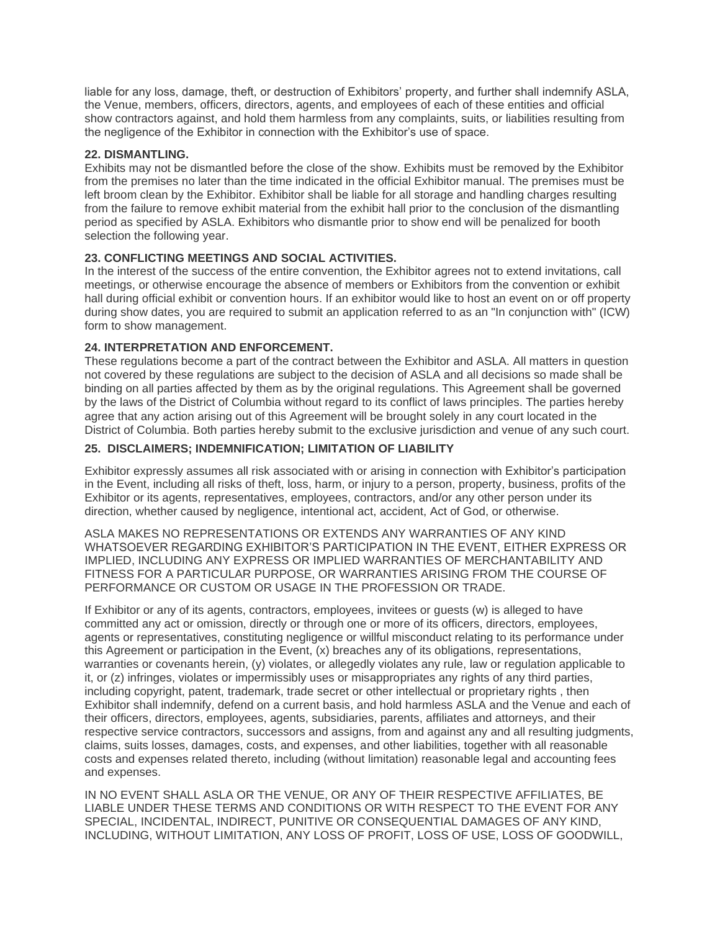liable for any loss, damage, theft, or destruction of Exhibitors' property, and further shall indemnify ASLA, the Venue, members, officers, directors, agents, and employees of each of these entities and official show contractors against, and hold them harmless from any complaints, suits, or liabilities resulting from the negligence of the Exhibitor in connection with the Exhibitor's use of space.

# **22. DISMANTLING.**

Exhibits may not be dismantled before the close of the show. Exhibits must be removed by the Exhibitor from the premises no later than the time indicated in the official Exhibitor manual. The premises must be left broom clean by the Exhibitor. Exhibitor shall be liable for all storage and handling charges resulting from the failure to remove exhibit material from the exhibit hall prior to the conclusion of the dismantling period as specified by ASLA. Exhibitors who dismantle prior to show end will be penalized for booth selection the following year.

# **23. CONFLICTING MEETINGS AND SOCIAL ACTIVITIES.**

In the interest of the success of the entire convention, the Exhibitor agrees not to extend invitations, call meetings, or otherwise encourage the absence of members or Exhibitors from the convention or exhibit hall during official exhibit or convention hours. If an exhibitor would like to host an event on or off property during show dates, you are required to submit an application referred to as an "In conjunction with" (ICW) form to show management.

# **24. INTERPRETATION AND ENFORCEMENT.**

These regulations become a part of the contract between the Exhibitor and ASLA. All matters in question not covered by these regulations are subject to the decision of ASLA and all decisions so made shall be binding on all parties affected by them as by the original regulations. This Agreement shall be governed by the laws of the District of Columbia without regard to its conflict of laws principles. The parties hereby agree that any action arising out of this Agreement will be brought solely in any court located in the District of Columbia. Both parties hereby submit to the exclusive jurisdiction and venue of any such court.

# **25. DISCLAIMERS; INDEMNIFICATION; LIMITATION OF LIABILITY**

Exhibitor expressly assumes all risk associated with or arising in connection with Exhibitor's participation in the Event, including all risks of theft, loss, harm, or injury to a person, property, business, profits of the Exhibitor or its agents, representatives, employees, contractors, and/or any other person under its direction, whether caused by negligence, intentional act, accident, Act of God, or otherwise.

ASLA MAKES NO REPRESENTATIONS OR EXTENDS ANY WARRANTIES OF ANY KIND WHATSOEVER REGARDING EXHIBITOR'S PARTICIPATION IN THE EVENT, EITHER EXPRESS OR IMPLIED, INCLUDING ANY EXPRESS OR IMPLIED WARRANTIES OF MERCHANTABILITY AND FITNESS FOR A PARTICULAR PURPOSE, OR WARRANTIES ARISING FROM THE COURSE OF PERFORMANCE OR CUSTOM OR USAGE IN THE PROFESSION OR TRADE.

If Exhibitor or any of its agents, contractors, employees, invitees or guests (w) is alleged to have committed any act or omission, directly or through one or more of its officers, directors, employees, agents or representatives, constituting negligence or willful misconduct relating to its performance under this Agreement or participation in the Event, (x) breaches any of its obligations, representations, warranties or covenants herein, (y) violates, or allegedly violates any rule, law or regulation applicable to it, or (z) infringes, violates or impermissibly uses or misappropriates any rights of any third parties, including copyright, patent, trademark, trade secret or other intellectual or proprietary rights , then Exhibitor shall indemnify, defend on a current basis, and hold harmless ASLA and the Venue and each of their officers, directors, employees, agents, subsidiaries, parents, affiliates and attorneys, and their respective service contractors, successors and assigns, from and against any and all resulting judgments, claims, suits losses, damages, costs, and expenses, and other liabilities, together with all reasonable costs and expenses related thereto, including (without limitation) reasonable legal and accounting fees and expenses.

IN NO EVENT SHALL ASLA OR THE VENUE, OR ANY OF THEIR RESPECTIVE AFFILIATES, BE LIABLE UNDER THESE TERMS AND CONDITIONS OR WITH RESPECT TO THE EVENT FOR ANY SPECIAL, INCIDENTAL, INDIRECT, PUNITIVE OR CONSEQUENTIAL DAMAGES OF ANY KIND, INCLUDING, WITHOUT LIMITATION, ANY LOSS OF PROFIT, LOSS OF USE, LOSS OF GOODWILL,